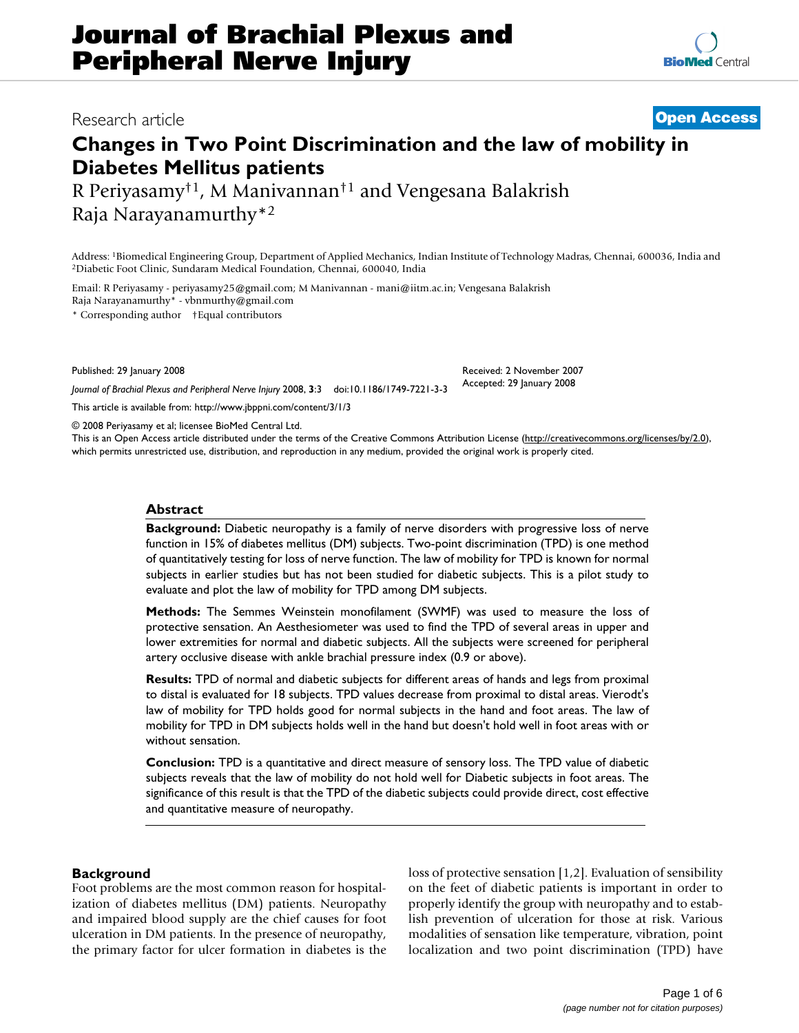# **Journal of Brachial Plexus and Peripheral Nerve Injury**

# **Changes in Two Point Discrimination and the law of mobility in Diabetes Mellitus patients**

R Periyasamy†1, M Manivannan†1 and Vengesana Balakrish Raja Narayanamurthy\*2

Address: <sup>1</sup>Biomedical Engineering Group, Department of Applied Mechanics, Indian Institute of Technology Madras, Chennai, 600036, India and <sup>2</sup>Diabetic Foot Clinic, Sundaram Medical Foundation, Chennai, 600040, India

Email: R Periyasamy - periyasamy25@gmail.com; M Manivannan - mani@iitm.ac.in; Vengesana Balakrish Raja Narayanamurthy\* - vbnmurthy@gmail.com

\* Corresponding author †Equal contributors

Published: 29 January 2008

*Journal of Brachial Plexus and Peripheral Nerve Injury* 2008, **3**:3 doi:10.1186/1749-7221-3-3

[This article is available from: http://www.jbppni.com/content/3/1/3](http://www.jbppni.com/content/3/1/3)

© 2008 Periyasamy et al; licensee BioMed Central Ltd.

This is an Open Access article distributed under the terms of the Creative Commons Attribution License [\(http://creativecommons.org/licenses/by/2.0\)](http://creativecommons.org/licenses/by/2.0), which permits unrestricted use, distribution, and reproduction in any medium, provided the original work is properly cited.

# **Abstract**

**Background:** Diabetic neuropathy is a family of nerve disorders with progressive loss of nerve function in 15% of diabetes mellitus (DM) subjects. Two-point discrimination (TPD) is one method of quantitatively testing for loss of nerve function. The law of mobility for TPD is known for normal subjects in earlier studies but has not been studied for diabetic subjects. This is a pilot study to evaluate and plot the law of mobility for TPD among DM subjects.

**Methods:** The Semmes Weinstein monofilament (SWMF) was used to measure the loss of protective sensation. An Aesthesiometer was used to find the TPD of several areas in upper and lower extremities for normal and diabetic subjects. All the subjects were screened for peripheral artery occlusive disease with ankle brachial pressure index (0.9 or above).

**Results:** TPD of normal and diabetic subjects for different areas of hands and legs from proximal to distal is evaluated for 18 subjects. TPD values decrease from proximal to distal areas. Vierodt's law of mobility for TPD holds good for normal subjects in the hand and foot areas. The law of mobility for TPD in DM subjects holds well in the hand but doesn't hold well in foot areas with or without sensation.

**Conclusion:** TPD is a quantitative and direct measure of sensory loss. The TPD value of diabetic subjects reveals that the law of mobility do not hold well for Diabetic subjects in foot areas. The significance of this result is that the TPD of the diabetic subjects could provide direct, cost effective and quantitative measure of neuropathy.

# **Background**

Foot problems are the most common reason for hospitalization of diabetes mellitus (DM) patients. Neuropathy and impaired blood supply are the chief causes for foot ulceration in DM patients. In the presence of neuropathy, the primary factor for ulcer formation in diabetes is the loss of protective sensation [1,2]. Evaluation of sensibility on the feet of diabetic patients is important in order to properly identify the group with neuropathy and to establish prevention of ulceration for those at risk. Various modalities of sensation like temperature, vibration, point localization and two point discrimination (TPD) have

# Page 1 of 6 *(page number not for citation purposes)*



Received: 2 November 2007 Accepted: 29 January 2008

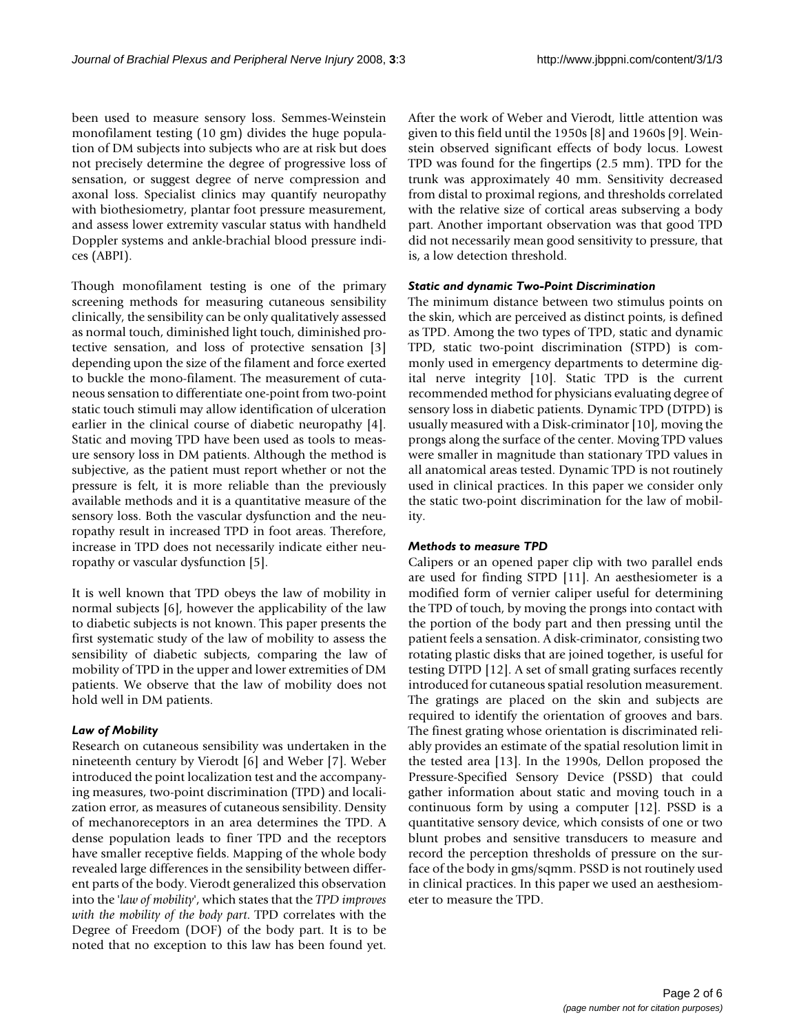been used to measure sensory loss. Semmes-Weinstein monofilament testing (10 gm) divides the huge population of DM subjects into subjects who are at risk but does not precisely determine the degree of progressive loss of sensation, or suggest degree of nerve compression and axonal loss. Specialist clinics may quantify neuropathy with biothesiometry, plantar foot pressure measurement, and assess lower extremity vascular status with handheld Doppler systems and ankle-brachial blood pressure indices (ABPI).

Though monofilament testing is one of the primary screening methods for measuring cutaneous sensibility clinically, the sensibility can be only qualitatively assessed as normal touch, diminished light touch, diminished protective sensation, and loss of protective sensation [3] depending upon the size of the filament and force exerted to buckle the mono-filament. The measurement of cutaneous sensation to differentiate one-point from two-point static touch stimuli may allow identification of ulceration earlier in the clinical course of diabetic neuropathy [4]. Static and moving TPD have been used as tools to measure sensory loss in DM patients. Although the method is subjective, as the patient must report whether or not the pressure is felt, it is more reliable than the previously available methods and it is a quantitative measure of the sensory loss. Both the vascular dysfunction and the neuropathy result in increased TPD in foot areas. Therefore, increase in TPD does not necessarily indicate either neuropathy or vascular dysfunction [5].

It is well known that TPD obeys the law of mobility in normal subjects [6], however the applicability of the law to diabetic subjects is not known. This paper presents the first systematic study of the law of mobility to assess the sensibility of diabetic subjects, comparing the law of mobility of TPD in the upper and lower extremities of DM patients. We observe that the law of mobility does not hold well in DM patients.

# *Law of Mobility*

Research on cutaneous sensibility was undertaken in the nineteenth century by Vierodt [6] and Weber [7]. Weber introduced the point localization test and the accompanying measures, two-point discrimination (TPD) and localization error, as measures of cutaneous sensibility. Density of mechanoreceptors in an area determines the TPD. A dense population leads to finer TPD and the receptors have smaller receptive fields. Mapping of the whole body revealed large differences in the sensibility between different parts of the body. Vierodt generalized this observation into the '*law of mobility*', which states that the *TPD improves with the mobility of the body part*. TPD correlates with the Degree of Freedom (DOF) of the body part. It is to be noted that no exception to this law has been found yet.

After the work of Weber and Vierodt, little attention was given to this field until the 1950s [8] and 1960s [9]. Weinstein observed significant effects of body locus. Lowest TPD was found for the fingertips (2.5 mm). TPD for the trunk was approximately 40 mm. Sensitivity decreased from distal to proximal regions, and thresholds correlated with the relative size of cortical areas subserving a body part. Another important observation was that good TPD did not necessarily mean good sensitivity to pressure, that is, a low detection threshold.

# *Static and dynamic Two-Point Discrimination*

The minimum distance between two stimulus points on the skin, which are perceived as distinct points, is defined as TPD. Among the two types of TPD, static and dynamic TPD, static two-point discrimination (STPD) is commonly used in emergency departments to determine digital nerve integrity [10]. Static TPD is the current recommended method for physicians evaluating degree of sensory loss in diabetic patients. Dynamic TPD (DTPD) is usually measured with a Disk-criminator [10], moving the prongs along the surface of the center. Moving TPD values were smaller in magnitude than stationary TPD values in all anatomical areas tested. Dynamic TPD is not routinely used in clinical practices. In this paper we consider only the static two-point discrimination for the law of mobility.

# *Methods to measure TPD*

Calipers or an opened paper clip with two parallel ends are used for finding STPD [11]. An aesthesiometer is a modified form of vernier caliper useful for determining the TPD of touch, by moving the prongs into contact with the portion of the body part and then pressing until the patient feels a sensation. A disk-criminator, consisting two rotating plastic disks that are joined together, is useful for testing DTPD [12]. A set of small grating surfaces recently introduced for cutaneous spatial resolution measurement. The gratings are placed on the skin and subjects are required to identify the orientation of grooves and bars. The finest grating whose orientation is discriminated reliably provides an estimate of the spatial resolution limit in the tested area [13]. In the 1990s, Dellon proposed the Pressure-Specified Sensory Device (PSSD) that could gather information about static and moving touch in a continuous form by using a computer [12]. PSSD is a quantitative sensory device, which consists of one or two blunt probes and sensitive transducers to measure and record the perception thresholds of pressure on the surface of the body in gms/sqmm. PSSD is not routinely used in clinical practices. In this paper we used an aesthesiometer to measure the TPD.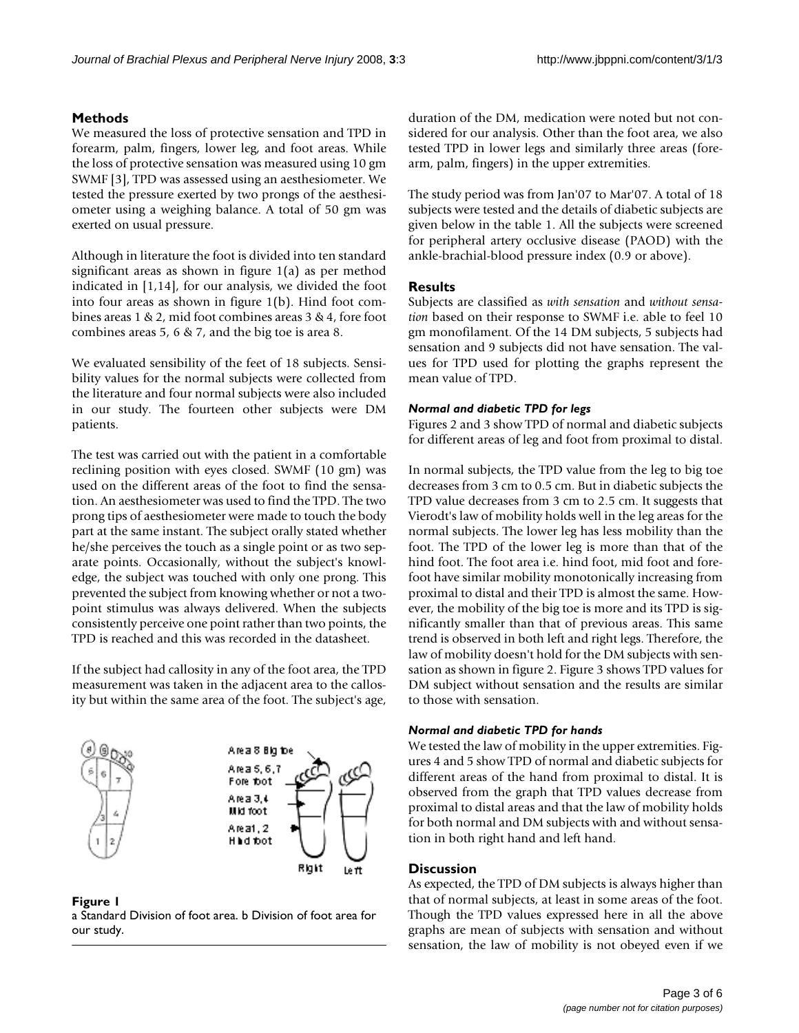# **Methods**

We measured the loss of protective sensation and TPD in forearm, palm, fingers, lower leg, and foot areas. While the loss of protective sensation was measured using 10 gm SWMF [3], TPD was assessed using an aesthesiometer. We tested the pressure exerted by two prongs of the aesthesiometer using a weighing balance. A total of 50 gm was exerted on usual pressure.

Although in literature the foot is divided into ten standard significant areas as shown in figure 1(a) as per method indicated in [1,14], for our analysis, we divided the foot into four areas as shown in figure 1(b). Hind foot combines areas 1 & 2, mid foot combines areas 3 & 4, fore foot combines areas 5, 6 & 7, and the big toe is area 8.

We evaluated sensibility of the feet of 18 subjects. Sensibility values for the normal subjects were collected from the literature and four normal subjects were also included in our study. The fourteen other subjects were DM patients.

The test was carried out with the patient in a comfortable reclining position with eyes closed. SWMF (10 gm) was used on the different areas of the foot to find the sensation. An aesthesiometer was used to find the TPD. The two prong tips of aesthesiometer were made to touch the body part at the same instant. The subject orally stated whether he/she perceives the touch as a single point or as two separate points. Occasionally, without the subject's knowledge, the subject was touched with only one prong. This prevented the subject from knowing whether or not a twopoint stimulus was always delivered. When the subjects consistently perceive one point rather than two points, the TPD is reached and this was recorded in the datasheet.

If the subject had callosity in any of the foot area, the TPD measurement was taken in the adjacent area to the callosity but within the same area of the foot. The subject's age,



**Figure 1** a Standard Division of foot area. b Division of foot area for our study.

duration of the DM, medication were noted but not considered for our analysis. Other than the foot area, we also tested TPD in lower legs and similarly three areas (forearm, palm, fingers) in the upper extremities.

The study period was from Jan'07 to Mar'07. A total of 18 subjects were tested and the details of diabetic subjects are given below in the table 1. All the subjects were screened for peripheral artery occlusive disease (PAOD) with the ankle-brachial-blood pressure index (0.9 or above).

# **Results**

Subjects are classified as *with sensation* and *without sensation* based on their response to SWMF i.e. able to feel 10 gm monofilament. Of the 14 DM subjects, 5 subjects had sensation and 9 subjects did not have sensation. The values for TPD used for plotting the graphs represent the mean value of TPD.

# *Normal and diabetic TPD for legs*

Figures 2 and 3 show TPD of normal and diabetic subjects for different areas of leg and foot from proximal to distal.

In normal subjects, the TPD value from the leg to big toe decreases from 3 cm to 0.5 cm. But in diabetic subjects the TPD value decreases from 3 cm to 2.5 cm. It suggests that Vierodt's law of mobility holds well in the leg areas for the normal subjects. The lower leg has less mobility than the foot. The TPD of the lower leg is more than that of the hind foot. The foot area i.e. hind foot, mid foot and forefoot have similar mobility monotonically increasing from proximal to distal and their TPD is almost the same. However, the mobility of the big toe is more and its TPD is significantly smaller than that of previous areas. This same trend is observed in both left and right legs. Therefore, the law of mobility doesn't hold for the DM subjects with sensation as shown in figure 2. Figure 3 shows TPD values for DM subject without sensation and the results are similar to those with sensation.

# *Normal and diabetic TPD for hands*

We tested the law of mobility in the upper extremities. Figures 4 and 5 show TPD of normal and diabetic subjects for different areas of the hand from proximal to distal. It is observed from the graph that TPD values decrease from proximal to distal areas and that the law of mobility holds for both normal and DM subjects with and without sensation in both right hand and left hand.

# **Discussion**

As expected, the TPD of DM subjects is always higher than that of normal subjects, at least in some areas of the foot. Though the TPD values expressed here in all the above graphs are mean of subjects with sensation and without sensation, the law of mobility is not obeyed even if we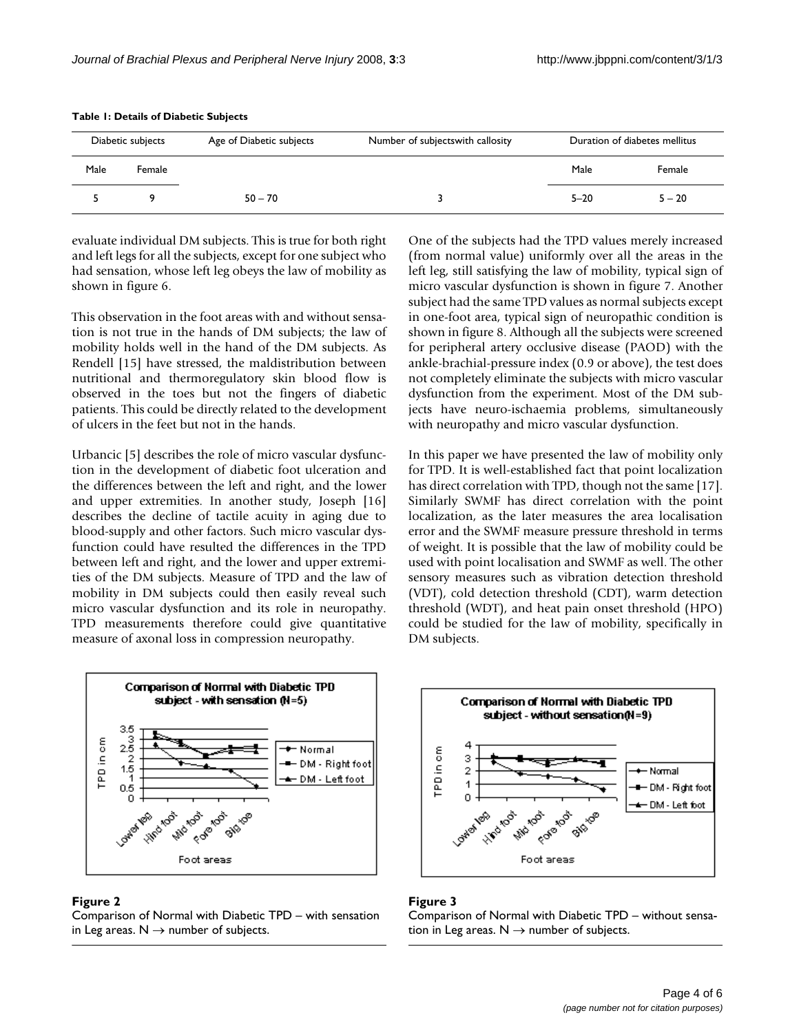| Diabetic subjects |        | Age of Diabetic subjects | Number of subjects with callosity | Duration of diabetes mellitus |          |
|-------------------|--------|--------------------------|-----------------------------------|-------------------------------|----------|
| Male              | Female |                          |                                   | Male                          | Female   |
|                   |        | $50 - 70$                |                                   | $5 - 20$                      | $5 - 20$ |

#### **Table 1: Details of Diabetic Subjects**

evaluate individual DM subjects. This is true for both right and left legs for all the subjects, except for one subject who had sensation, whose left leg obeys the law of mobility as shown in figure 6.

This observation in the foot areas with and without sensation is not true in the hands of DM subjects; the law of mobility holds well in the hand of the DM subjects. As Rendell [15] have stressed, the maldistribution between nutritional and thermoregulatory skin blood flow is observed in the toes but not the fingers of diabetic patients. This could be directly related to the development of ulcers in the feet but not in the hands.

Urbancic [5] describes the role of micro vascular dysfunction in the development of diabetic foot ulceration and the differences between the left and right, and the lower and upper extremities. In another study, Joseph [16] describes the decline of tactile acuity in aging due to blood-supply and other factors. Such micro vascular dysfunction could have resulted the differences in the TPD between left and right, and the lower and upper extremities of the DM subjects. Measure of TPD and the law of mobility in DM subjects could then easily reveal such micro vascular dysfunction and its role in neuropathy. TPD measurements therefore could give quantitative measure of axonal loss in compression neuropathy.

One of the subjects had the TPD values merely increased (from normal value) uniformly over all the areas in the left leg, still satisfying the law of mobility, typical sign of micro vascular dysfunction is shown in figure 7. Another subject had the same TPD values as normal subjects except in one-foot area, typical sign of neuropathic condition is shown in figure 8. Although all the subjects were screened for peripheral artery occlusive disease (PAOD) with the ankle-brachial-pressure index (0.9 or above), the test does not completely eliminate the subjects with micro vascular dysfunction from the experiment. Most of the DM subjects have neuro-ischaemia problems, simultaneously with neuropathy and micro vascular dysfunction.

In this paper we have presented the law of mobility only for TPD. It is well-established fact that point localization has direct correlation with TPD, though not the same [17]. Similarly SWMF has direct correlation with the point localization, as the later measures the area localisation error and the SWMF measure pressure threshold in terms of weight. It is possible that the law of mobility could be used with point localisation and SWMF as well. The other sensory measures such as vibration detection threshold (VDT), cold detection threshold (CDT), warm detection threshold (WDT), and heat pain onset threshold (HPO) could be studied for the law of mobility, specifically in DM subjects.



### Figure 2

Comparison of Normal with Diabetic TPD – with sensation in Leg areas.  $N \rightarrow$  number of subjects.



# Figure 3

Comparison of Normal with Diabetic TPD – without sensation in Leg areas.  $N \rightarrow$  number of subjects.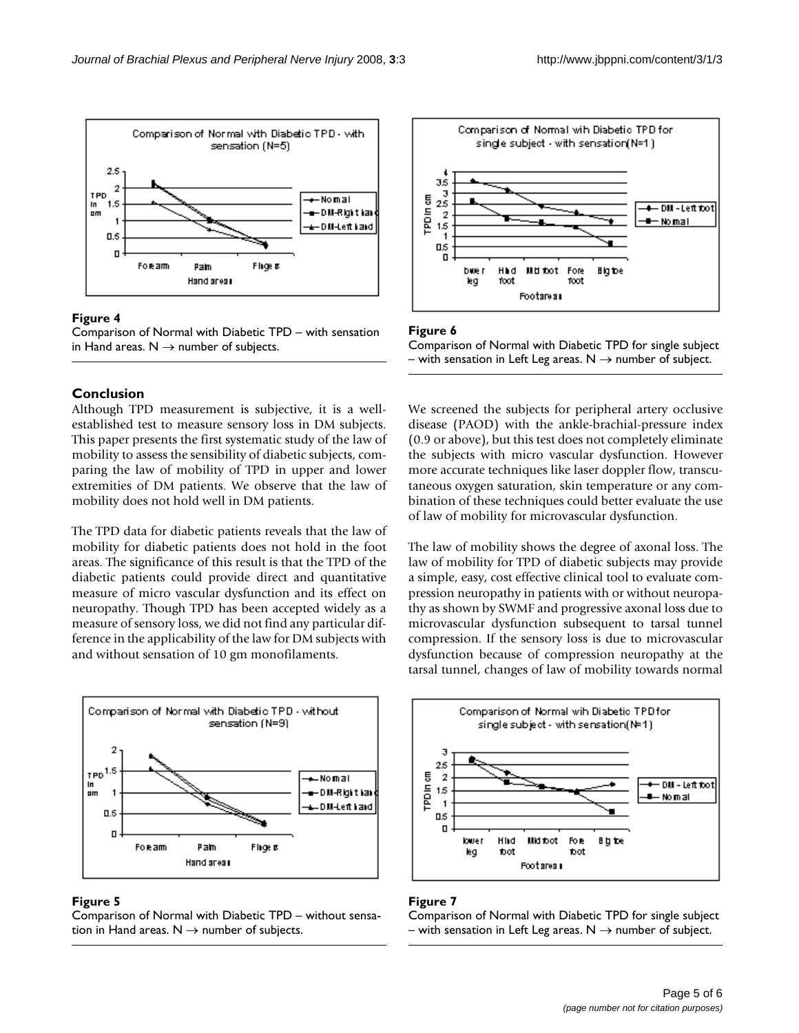

# Figure 4



# **Conclusion**

Although TPD measurement is subjective, it is a wellestablished test to measure sensory loss in DM subjects. This paper presents the first systematic study of the law of mobility to assess the sensibility of diabetic subjects, comparing the law of mobility of TPD in upper and lower extremities of DM patients. We observe that the law of mobility does not hold well in DM patients.

The TPD data for diabetic patients reveals that the law of mobility for diabetic patients does not hold in the foot areas. The significance of this result is that the TPD of the diabetic patients could provide direct and quantitative measure of micro vascular dysfunction and its effect on neuropathy. Though TPD has been accepted widely as a measure of sensory loss, we did not find any particular difference in the applicability of the law for DM subjects with and without sensation of 10 gm monofilaments.



# Figure 5

Comparison of Normal with Diabetic TPD – without sensation in Hand areas.  $N \rightarrow$  number of subjects.



# Figure 6

Comparison of Normal with Diabetic TPD for single subject – with sensation in Left Leg areas.  $N \rightarrow$  number of subject.

We screened the subjects for peripheral artery occlusive disease (PAOD) with the ankle-brachial-pressure index (0.9 or above), but this test does not completely eliminate the subjects with micro vascular dysfunction. However more accurate techniques like laser doppler flow, transcutaneous oxygen saturation, skin temperature or any combination of these techniques could better evaluate the use of law of mobility for microvascular dysfunction.

The law of mobility shows the degree of axonal loss. The law of mobility for TPD of diabetic subjects may provide a simple, easy, cost effective clinical tool to evaluate compression neuropathy in patients with or without neuropathy as shown by SWMF and progressive axonal loss due to microvascular dysfunction subsequent to tarsal tunnel compression. If the sensory loss is due to microvascular dysfunction because of compression neuropathy at the tarsal tunnel, changes of law of mobility towards normal



# Figure 7

Comparison of Normal with Diabetic TPD for single subject – with sensation in Left Leg areas.  $N \rightarrow$  number of subject.